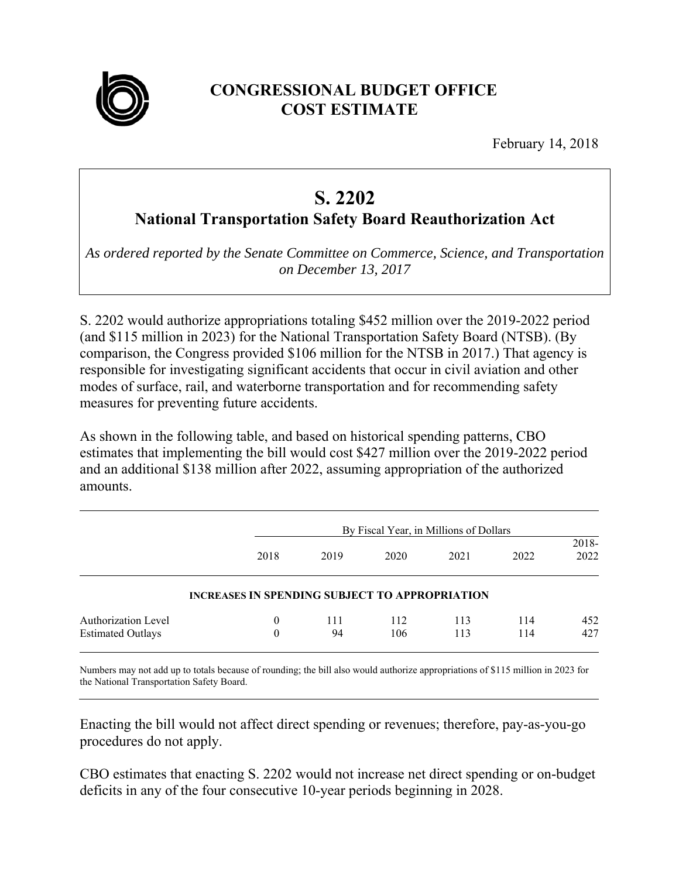

## **CONGRESSIONAL BUDGET OFFICE COST ESTIMATE**

February 14, 2018

## **S. 2202**

**National Transportation Safety Board Reauthorization Act** 

*As ordered reported by the Senate Committee on Commerce, Science, and Transportation on December 13, 2017* 

S. 2202 would authorize appropriations totaling \$452 million over the 2019-2022 period (and \$115 million in 2023) for the National Transportation Safety Board (NTSB). (By comparison, the Congress provided \$106 million for the NTSB in 2017.) That agency is responsible for investigating significant accidents that occur in civil aviation and other modes of surface, rail, and waterborne transportation and for recommending safety measures for preventing future accidents.

As shown in the following table, and based on historical spending patterns, CBO estimates that implementing the bill would cost \$427 million over the 2019-2022 period and an additional \$138 million after 2022, assuming appropriation of the authorized amounts.

|                                                 |                                                       | By Fiscal Year, in Millions of Dollars |            |            |            |               |  |
|-------------------------------------------------|-------------------------------------------------------|----------------------------------------|------------|------------|------------|---------------|--|
|                                                 | 2018                                                  | 2019                                   | 2020       | 2021       | 2022       | 2018-<br>2022 |  |
|                                                 | <b>INCREASES IN SPENDING SUBJECT TO APPROPRIATION</b> |                                        |            |            |            |               |  |
| Authorization Level<br><b>Estimated Outlays</b> | $\theta$<br>0                                         | 111<br>94                              | 112<br>106 | 113<br>113 | 114<br>114 | 452<br>427    |  |

Numbers may not add up to totals because of rounding; the bill also would authorize appropriations of \$115 million in 2023 for the National Transportation Safety Board.

Enacting the bill would not affect direct spending or revenues; therefore, pay-as-you-go procedures do not apply.

CBO estimates that enacting S. 2202 would not increase net direct spending or on-budget deficits in any of the four consecutive 10-year periods beginning in 2028.